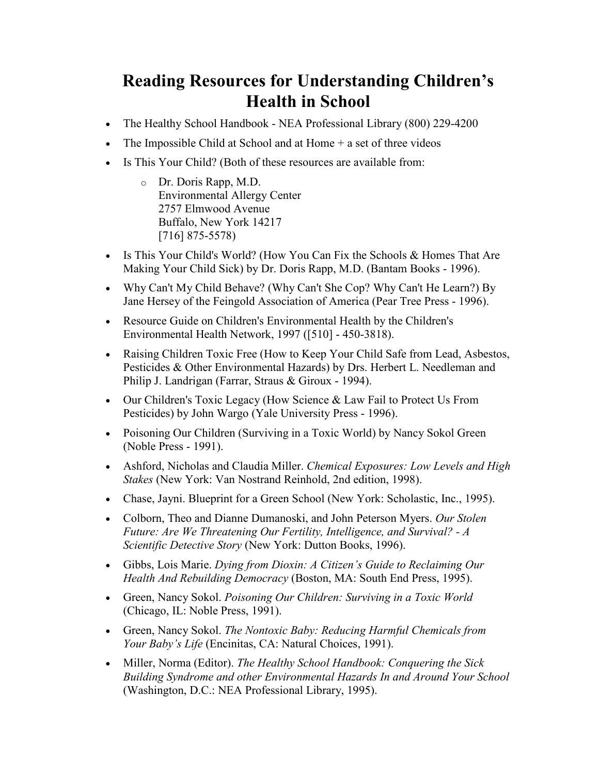## Reading Resources for Understanding Children's Health in School

- The Healthy School Handbook NEA Professional Library (800) 229-4200
- The Impossible Child at School and at Home  $+$  a set of three videos
- Is This Your Child? (Both of these resources are available from:
	- o Dr. Doris Rapp, M.D. Environmental Allergy Center 2757 Elmwood Avenue Buffalo, New York 14217 [716] 875-5578)
- Is This Your Child's World? (How You Can Fix the Schools & Homes That Are Making Your Child Sick) by Dr. Doris Rapp, M.D. (Bantam Books - 1996).
- Why Can't My Child Behave? (Why Can't She Cop? Why Can't He Learn?) By Jane Hersey of the Feingold Association of America (Pear Tree Press - 1996).
- Resource Guide on Children's Environmental Health by the Children's Environmental Health Network, 1997 ([510] - 450-3818).
- Raising Children Toxic Free (How to Keep Your Child Safe from Lead, Asbestos, Pesticides & Other Environmental Hazards) by Drs. Herbert L. Needleman and Philip J. Landrigan (Farrar, Straus & Giroux - 1994).
- Our Children's Toxic Legacy (How Science & Law Fail to Protect Us From Pesticides) by John Wargo (Yale University Press - 1996).
- Poisoning Our Children (Surviving in a Toxic World) by Nancy Sokol Green (Noble Press - 1991).
- Ashford, Nicholas and Claudia Miller. Chemical Exposures: Low Levels and High Stakes (New York: Van Nostrand Reinhold, 2nd edition, 1998).
- Chase, Jayni. Blueprint for a Green School (New York: Scholastic, Inc., 1995).
- Colborn, Theo and Dianne Dumanoski, and John Peterson Myers. Our Stolen Future: Are We Threatening Our Fertility, Intelligence, and Survival? - A Scientific Detective Story (New York: Dutton Books, 1996).
- Gibbs, Lois Marie. Dying from Dioxin: A Citizen's Guide to Reclaiming Our Health And Rebuilding Democracy (Boston, MA: South End Press, 1995).
- Green, Nancy Sokol. Poisoning Our Children: Surviving in a Toxic World (Chicago, IL: Noble Press, 1991).
- Green, Nancy Sokol. The Nontoxic Baby: Reducing Harmful Chemicals from Your Baby's Life (Encinitas, CA: Natural Choices, 1991).
- Miller, Norma (Editor). The Healthy School Handbook: Conquering the Sick Building Syndrome and other Environmental Hazards In and Around Your School (Washington, D.C.: NEA Professional Library, 1995).